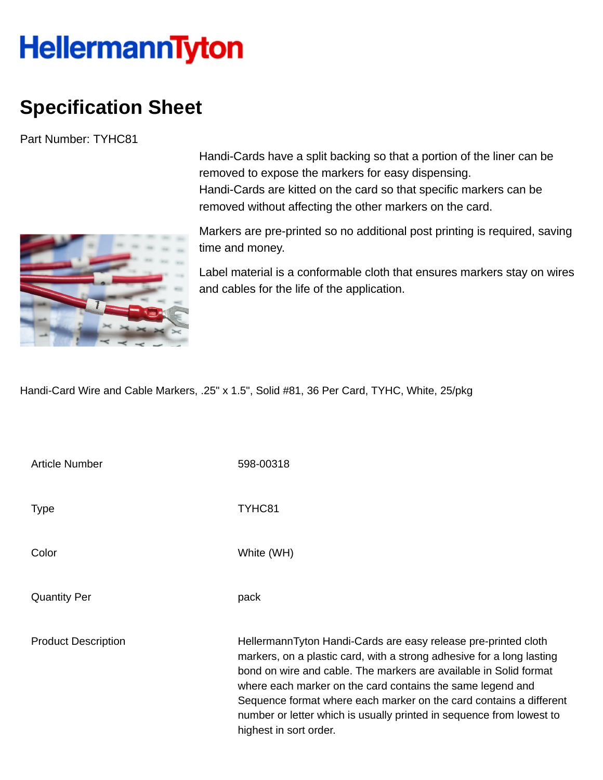## **HellermannTyton**

## **Specification Sheet**

Part Number: TYHC81



Handi-Cards have a split backing so that a portion of the liner can be removed to expose the markers for easy dispensing. Handi-Cards are kitted on the card so that specific markers can be removed without affecting the other markers on the card.

Markers are pre-printed so no additional post printing is required, saving time and money.

Label material is a conformable cloth that ensures markers stay on wires and cables for the life of the application.

Handi-Card Wire and Cable Markers, .25" x 1.5", Solid #81, 36 Per Card, TYHC, White, 25/pkg

| <b>Article Number</b>      | 598-00318                                                                                                                                                                                                                                                                                                                                                                                                                                          |
|----------------------------|----------------------------------------------------------------------------------------------------------------------------------------------------------------------------------------------------------------------------------------------------------------------------------------------------------------------------------------------------------------------------------------------------------------------------------------------------|
| Type                       | TYHC81                                                                                                                                                                                                                                                                                                                                                                                                                                             |
| Color                      | White (WH)                                                                                                                                                                                                                                                                                                                                                                                                                                         |
| <b>Quantity Per</b>        | pack                                                                                                                                                                                                                                                                                                                                                                                                                                               |
| <b>Product Description</b> | HellermannTyton Handi-Cards are easy release pre-printed cloth<br>markers, on a plastic card, with a strong adhesive for a long lasting<br>bond on wire and cable. The markers are available in Solid format<br>where each marker on the card contains the same legend and<br>Sequence format where each marker on the card contains a different<br>number or letter which is usually printed in sequence from lowest to<br>highest in sort order. |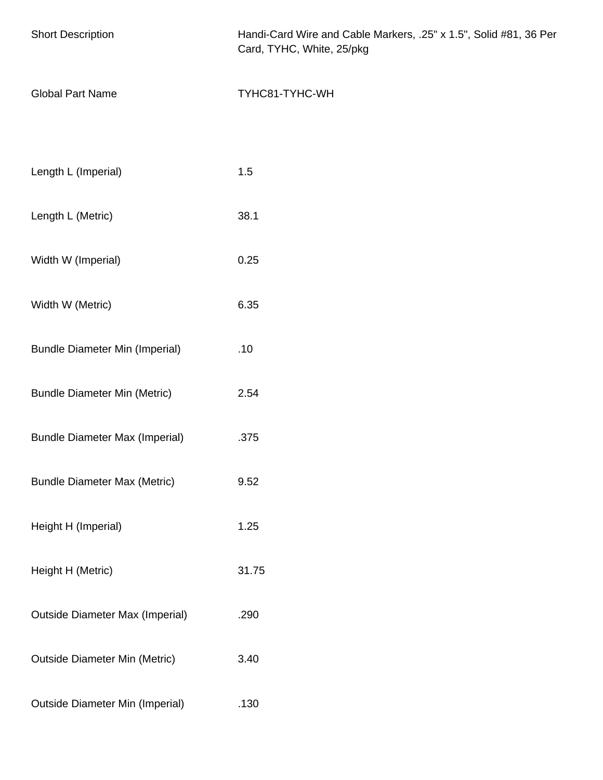| <b>Short Description</b>               | Handi-Card Wire and Cable Markers, .25" x 1.5", Solid #81, 36 Per<br>Card, TYHC, White, 25/pkg |
|----------------------------------------|------------------------------------------------------------------------------------------------|
| <b>Global Part Name</b>                | TYHC81-TYHC-WH                                                                                 |
|                                        |                                                                                                |
| Length L (Imperial)                    | 1.5                                                                                            |
| Length L (Metric)                      | 38.1                                                                                           |
| Width W (Imperial)                     | 0.25                                                                                           |
| Width W (Metric)                       | 6.35                                                                                           |
| <b>Bundle Diameter Min (Imperial)</b>  | .10                                                                                            |
| <b>Bundle Diameter Min (Metric)</b>    | 2.54                                                                                           |
| <b>Bundle Diameter Max (Imperial)</b>  | .375                                                                                           |
| <b>Bundle Diameter Max (Metric)</b>    | 9.52                                                                                           |
| Height H (Imperial)                    | 1.25                                                                                           |
| Height H (Metric)                      | 31.75                                                                                          |
| <b>Outside Diameter Max (Imperial)</b> | .290                                                                                           |
| <b>Outside Diameter Min (Metric)</b>   | 3.40                                                                                           |
| <b>Outside Diameter Min (Imperial)</b> | .130                                                                                           |